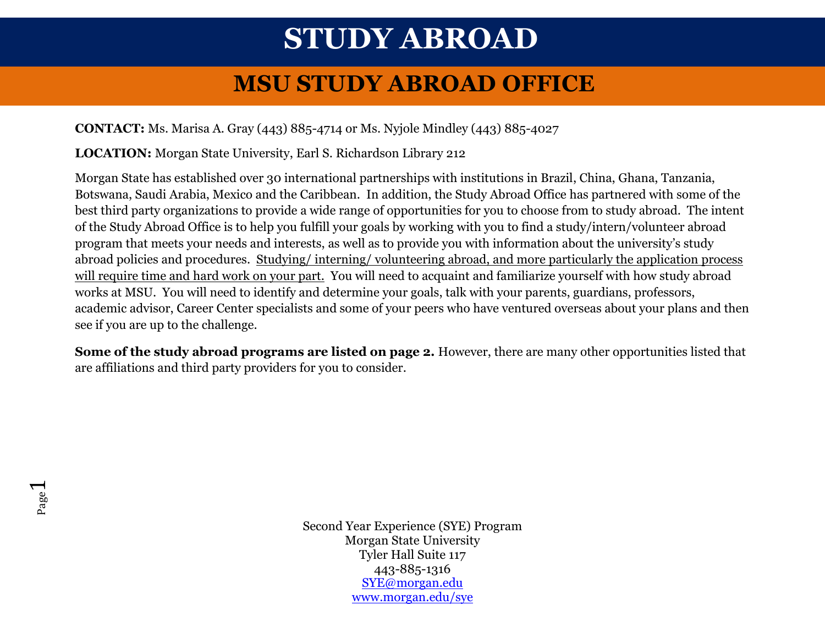# **STUDY ABROAD**

## **MSU STUDY ABROAD OFFICE**

### **CONTACT:** Ms. Marisa A. Gray (443) 885-4714 or Ms. Nyjole Mindley (443) 885-4027

**LOCATION:** Morgan State University, Earl S. Richardson Library 212

Morgan State has established over 30 international partnerships with institutions in Brazil, China, Ghana, Tanzania, Botswana, Saudi Arabia, Mexico and the Caribbean. In addition, the Study Abroad Office has partnered with some of the best third party organizations to provide a wide range of opportunities for you to choose from to study abroad. The intent of the Study Abroad Office is to help you fulfill your goals by working with you to find a study/intern/volunteer abroad program that meets your needs and interests, as well as to provide you with information about the university's study abroad policies and procedures. Studying/ interning/ volunteering abroad, and more particularly the application process will require time and hard work on your part. You will need to acquaint and familiarize yourself with how study abroad works at MSU. You will need to identify and determine your goals, talk with your parents, guardians, professors, academic advisor, Career Center specialists and some of your peers who have ventured overseas about your plans and then see if you are up to the challenge.

**Some of the study abroad programs are listed on page 2.** However, there are many other opportunities listed that are affiliations and third party providers for you to consider.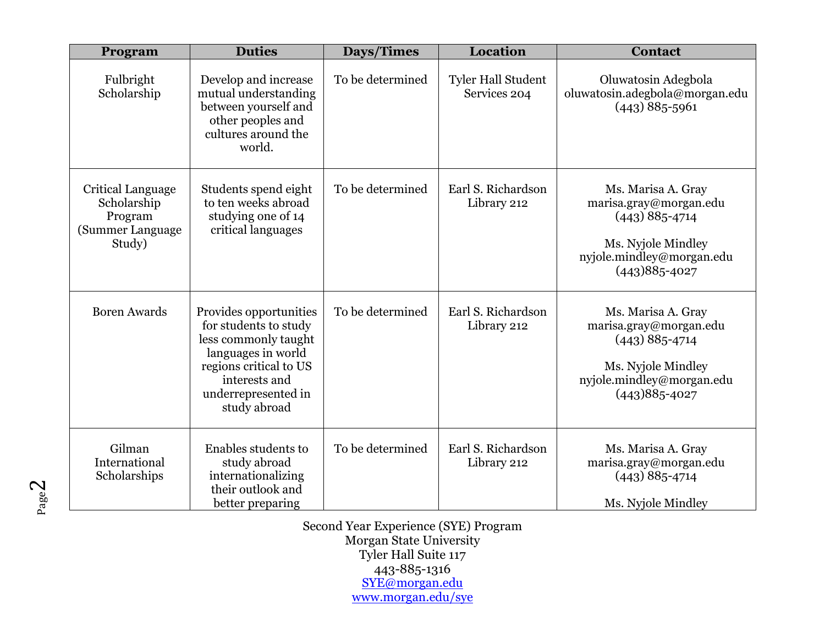| Program                                                                   | <b>Duties</b>                                                                                                                                                                   | Days/Times       | Location                                  | <b>Contact</b>                                                                                                                           |
|---------------------------------------------------------------------------|---------------------------------------------------------------------------------------------------------------------------------------------------------------------------------|------------------|-------------------------------------------|------------------------------------------------------------------------------------------------------------------------------------------|
| Fulbright<br>Scholarship                                                  | Develop and increase<br>mutual understanding<br>between yourself and<br>other peoples and<br>cultures around the<br>world.                                                      | To be determined | <b>Tyler Hall Student</b><br>Services 204 | Oluwatosin Adegbola<br>oluwatosin.adegbola@morgan.edu<br>$(443) 885 - 5961$                                                              |
| Critical Language<br>Scholarship<br>Program<br>(Summer Language<br>Study) | Students spend eight<br>to ten weeks abroad<br>studying one of 14<br>critical languages                                                                                         | To be determined | Earl S. Richardson<br>Library 212         | Ms. Marisa A. Gray<br>marisa.gray@morgan.edu<br>$(443)$ 885-4714<br>Ms. Nyjole Mindley<br>nyjole.mindley@morgan.edu<br>$(443)885 - 4027$ |
| <b>Boren Awards</b>                                                       | Provides opportunities<br>for students to study<br>less commonly taught<br>languages in world<br>regions critical to US<br>interests and<br>underrepresented in<br>study abroad | To be determined | Earl S. Richardson<br>Library 212         | Ms. Marisa A. Gray<br>marisa.gray@morgan.edu<br>$(443)$ 885-4714<br>Ms. Nyjole Mindley<br>nyjole.mindley@morgan.edu<br>$(443)885 - 4027$ |
| Gilman<br>International<br>Scholarships                                   | Enables students to<br>study abroad<br>internationalizing<br>their outlook and<br>better preparing                                                                              | To be determined | Earl S. Richardson<br>Library 212         | Ms. Marisa A. Gray<br>marisa.gray@morgan.edu<br>$(443)$ 885-4714<br>Ms. Nyjole Mindley                                                   |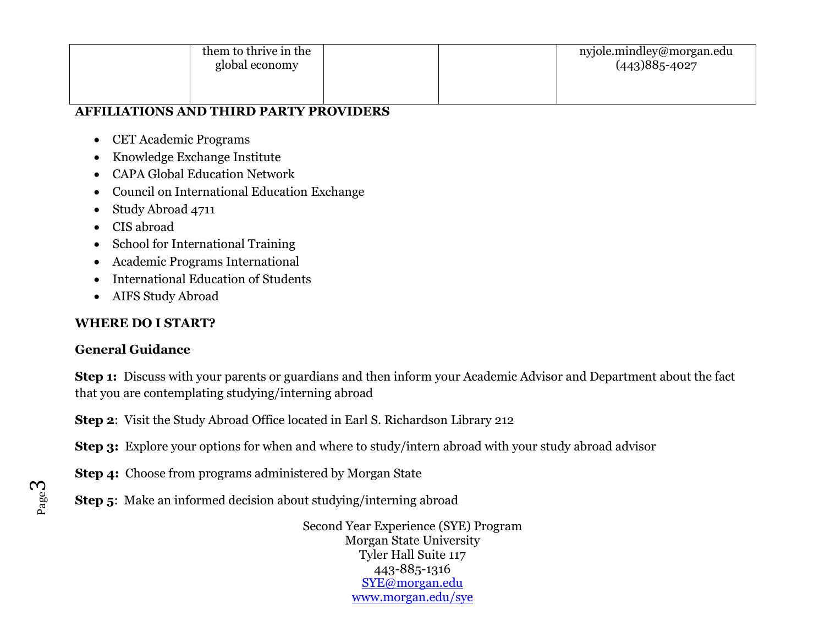| them to thrive in the<br>global economy |  | nyjole.mindley@morgan.edu<br>$(443)885 - 4027$ |
|-----------------------------------------|--|------------------------------------------------|
|                                         |  |                                                |

#### **AFFILIATIONS AND THIRD PARTY PROVIDERS**

- CET Academic Programs
- Knowledge Exchange Institute
- CAPA Global Education Network
- Council on International Education Exchange
- Study Abroad 4711
- CIS abroad
- School for International Training
- Academic Programs International
- International Education of Students
- AIFS Study Abroad

#### **WHERE DO I START?**

#### **General Guidance**

**Step 1:** Discuss with your parents or guardians and then inform your Academic Advisor and Department about the fact that you are contemplating studying/interning abroad

**Step 2**: Visit the Study Abroad Office located in Earl S. Richardson Library 212

**Step 3:** Explore your options for when and where to study/intern abroad with your study abroad advisor

**Step 4:** Choose from programs administered by Morgan State

**Step 5:** Make an informed decision about studying/interning abroad